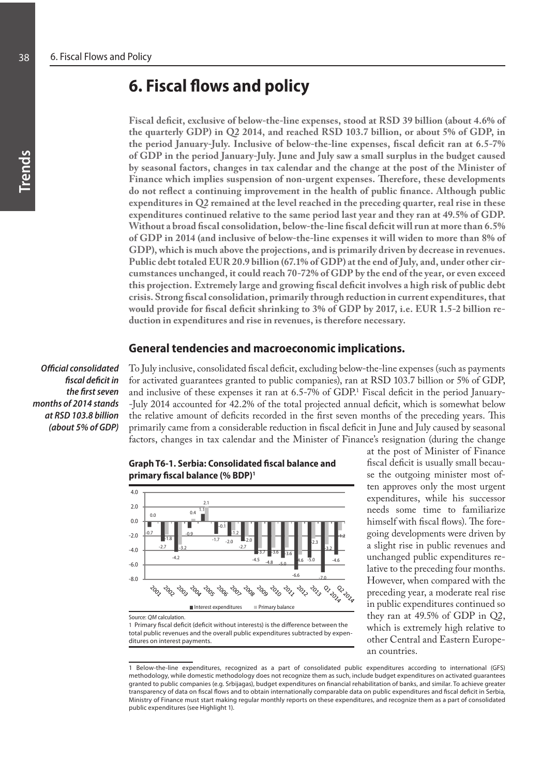# **6. Fiscal flows and policy**

**Fiscal deficit, exclusive of below-the-line expenses, stood at RSD 39 billion (about 4.6% of the quarterly GDP) in Q2 2014, and reached RSD 103.7 billion, or about 5% of GDP, in the period January-July. Inclusive of below-the-line expenses, fiscal deficit ran at 6.5-7% of GDP in the period January-July. June and July saw a small surplus in the budget caused by seasonal factors, changes in tax calendar and the change at the post of the Minister of Finance which implies suspension of non-urgent expenses. Therefore, these developments do not reflect a continuing improvement in the health of public finance. Although public expenditures in Q2 remained at the level reached in the preceding quarter, real rise in these expenditures continued relative to the same period last year and they ran at 49.5% of GDP. Without a broad fiscal consolidation, below-the-line fiscal deficit will run at more than 6.5% of GDP in 2014 (and inclusive of below-the-line expenses it will widen to more than 8% of GDP), which is much above the projections, and is primarily driven by decrease in revenues. Public debt totaled EUR 20.9 billion (67.1% of GDP) at the end of July, and, under other circumstances unchanged, it could reach 70-72% of GDP by the end of the year, or even exceed this projection. Extremely large and growing fiscal deficit involves a high risk of public debt crisis. Strong fiscal consolidation, primarily through reduction in current expenditures, that would provide for fiscal deficit shrinking to 3% of GDP by 2017, i.e. EUR 1.5-2 billion reduction in expenditures and rise in revenues, is therefore necessary.**

## **General tendencies and macroeconomic implications.**

*Official consolidated fiscal deficit in the first seven months of 2014 stands at RSD 103.8 billion (about 5% of GDP)* To July inclusive, consolidated fiscal deficit, excluding below-the-line expenses (such as payments for activated guarantees granted to public companies), ran at RSD 103.7 billion or 5% of GDP, and inclusive of these expenses it ran at 6.5-7% of GDP.<sup>1</sup> Fiscal deficit in the period January--July 2014 accounted for 42.2% of the total projected annual deficit, which is somewhat below the relative amount of deficits recorded in the first seven months of the preceding years. This primarily came from a considerable reduction in fiscal deficit in June and July caused by seasonal factors, changes in tax calendar and the Minister of Finance's resignation (during the change



**Graph T6-1. Serbia: Consolidated fiscal balance and primary fiscal balance (% BDP)1**

1 Primary fiscal deficit (deficit without interests) is the difference between the total public revenues and the overall public expenditures subtracted by expenditures on interest payments.

at the post of Minister of Finance fiscal deficit is usually small because the outgoing minister most often approves only the most urgent expenditures, while his successor needs some time to familiarize himself with fiscal flows). The foregoing developments were driven by a slight rise in public revenues and unchanged public expenditures relative to the preceding four months. However, when compared with the preceding year, a moderate real rise in public expenditures continued so they ran at 49.5% of GDP in Q2, which is extremely high relative to other Central and Eastern European countries.

<sup>1</sup> Below-the-line expenditures, recognized as a part of consolidated public expenditures according to international (GFS) methodology, while domestic methodology does not recognize them as such, include budget expenditures on activated guarantees granted to public companies (e.g. Srbijagas), budget expenditures on financial rehabilitation of banks, and similar. To achieve greater transparency of data on fiscal flows and to obtain internationally comparable data on public expenditures and fiscal deficit in Serbia, Ministry of Finance must start making regular monthly reports on these expenditures, and recognize them as a part of consolidated public expenditures (see Highlight 1).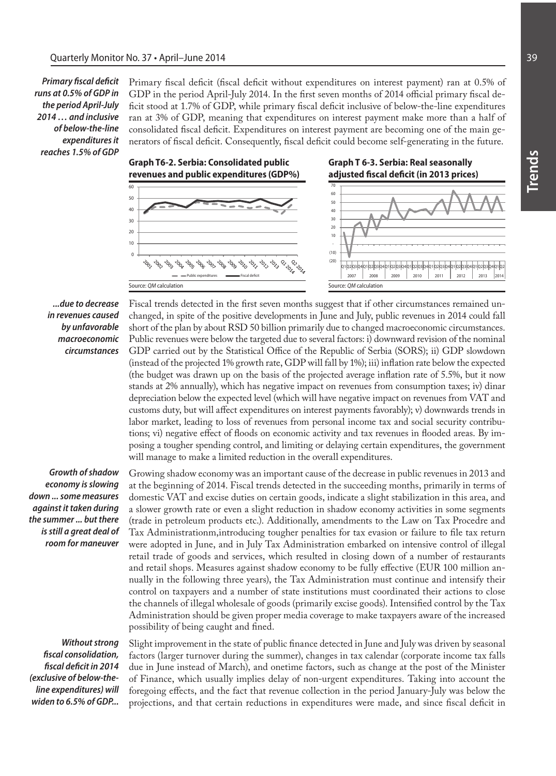*Primary fiscal deficit runs at 0.5% of GDP in the period April-July 2014 … and inclusive of below-the-line expenditures it reaches 1.5% of GDP*

Primary fiscal deficit (fiscal deficit without expenditures on interest payment) ran at 0.5% of GDP in the period April-July 2014. In the first seven months of 2014 official primary fiscal deficit stood at 1.7% of GDP, while primary fiscal deficit inclusive of below-the-line expenditures ran at 3% of GDP, meaning that expenditures on interest payment make more than a half of consolidated fiscal deficit. Expenditures on interest payment are becoming one of the main generators of fiscal deficit. Consequently, fiscal deficit could become self-generating in the future.



### *...due to decrease in revenues caused by unfavorable macroeconomic circumstances*

Fiscal trends detected in the first seven months suggest that if other circumstances remained unchanged, in spite of the positive developments in June and July, public revenues in 2014 could fall short of the plan by about RSD 50 billion primarily due to changed macroeconomic circumstances. Public revenues were below the targeted due to several factors: i) downward revision of the nominal GDP carried out by the Statistical Office of the Republic of Serbia (SORS); ii) GDP slowdown (instead of the projected 1% growth rate, GDP will fall by 1%); iii) inflation rate below the expected (the budget was drawn up on the basis of the projected average inflation rate of 5.5%, but it now stands at 2% annually), which has negative impact on revenues from consumption taxes; iv) dinar depreciation below the expected level (which will have negative impact on revenues from VAT and customs duty, but will affect expenditures on interest payments favorably); v) downwards trends in labor market, leading to loss of revenues from personal income tax and social security contributions; vi) negative effect of floods on economic activity and tax revenues in flooded areas. By imposing a tougher spending control, and limiting or delaying certain expenditures, the government will manage to make a limited reduction in the overall expenditures.

*Growth of shadow economy is slowing down ... some measures against it taken during the summer ... but there is still a great deal of room for maneuver*

*Without strong fiscal consolidation, fiscal deficit in 2014 (exclusive of below-theline expenditures) will widen to 6.5% of GDP...*

Growing shadow economy was an important cause of the decrease in public revenues in 2013 and at the beginning of 2014. Fiscal trends detected in the succeeding months, primarily in terms of domestic VAT and excise duties on certain goods, indicate a slight stabilization in this area, and a slower growth rate or even a slight reduction in shadow economy activities in some segments (trade in petroleum products etc.). Additionally, amendments to the Law on Tax Procedre and Tax Administrationm,introducing tougher penalties for tax evasion or failure to file tax return were adopted in June, and in July Tax Administration embarked on intensive control of illegal retail trade of goods and services, which resulted in closing down of a number of restaurants and retail shops. Measures against shadow economy to be fully effective (EUR 100 million annually in the following three years), the Tax Administration must continue and intensify their control on taxpayers and a number of state institutions must coordinated their actions to close the channels of illegal wholesale of goods (primarily excise goods). Intensified control by the Tax Administration should be given proper media coverage to make taxpayers aware of the increased possibility of being caught and fined.

Slight improvement in the state of public finance detected in June and July was driven by seasonal factors (larger turnover during the summer), changes in tax calendar (corporate income tax falls due in June instead of March), and onetime factors, such as change at the post of the Minister of Finance, which usually implies delay of non-urgent expenditures. Taking into account the foregoing effects, and the fact that revenue collection in the period January-July was below the projections, and that certain reductions in expenditures were made, and since fiscal deficit in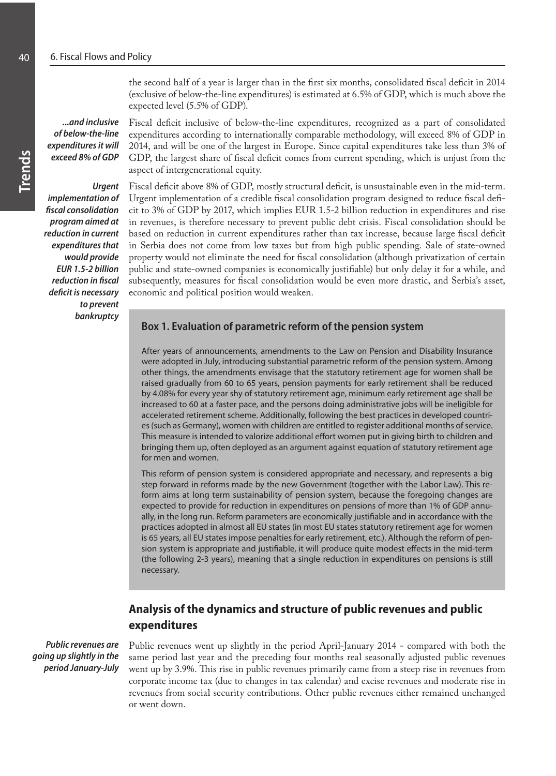the second half of a year is larger than in the first six months, consolidated fiscal deficit in 2014 (exclusive of below-the-line expenditures) is estimated at 6.5% of GDP, which is much above the expected level (5.5% of GDP).

*...and inclusive of below-the-line expenditures it will exceed 8% of GDP*

*Urgent implementation of fiscal consolidation program aimed at reduction in current expenditures that would provide EUR 1.5-2 billion reduction in fiscal deficit is necessary to prevent bankruptcy* Fiscal deficit inclusive of below-the-line expenditures, recognized as a part of consolidated expenditures according to internationally comparable methodology, will exceed 8% of GDP in 2014, and will be one of the largest in Europe. Since capital expenditures take less than 3% of GDP, the largest share of fiscal deficit comes from current spending, which is unjust from the aspect of intergenerational equity.

Fiscal deficit above 8% of GDP, mostly structural deficit, is unsustainable even in the mid-term. Urgent implementation of a credible fiscal consolidation program designed to reduce fiscal deficit to 3% of GDP by 2017, which implies EUR 1.5-2 billion reduction in expenditures and rise in revenues, is therefore necessary to prevent public debt crisis. Fiscal consolidation should be based on reduction in current expenditures rather than tax increase, because large fiscal deficit in Serbia does not come from low taxes but from high public spending. Sale of state-owned property would not eliminate the need for fiscal consolidation (although privatization of certain public and state-owned companies is economically justifiable) but only delay it for a while, and subsequently, measures for fiscal consolidation would be even more drastic, and Serbia's asset, economic and political position would weaken.

# **Box 1. Evaluation of parametric reform of the pension system**

After years of announcements, amendments to the Law on Pension and Disability Insurance were adopted in July, introducing substantial parametric reform of the pension system. Among other things, the amendments envisage that the statutory retirement age for women shall be raised gradually from 60 to 65 years, pension payments for early retirement shall be reduced by 4.08% for every year shy of statutory retirement age, minimum early retirement age shall be increased to 60 at a faster pace, and the persons doing administrative jobs will be ineligible for accelerated retirement scheme. Additionally, following the best practices in developed countries (such as Germany), women with children are entitled to register additional months of service. This measure is intended to valorize additional effort women put in giving birth to children and bringing them up, often deployed as an argument against equation of statutory retirement age for men and women.

This reform of pension system is considered appropriate and necessary, and represents a big step forward in reforms made by the new Government (together with the Labor Law). This reform aims at long term sustainability of pension system, because the foregoing changes are expected to provide for reduction in expenditures on pensions of more than 1% of GDP annually, in the long run. Reform parameters are economically justifiable and in accordance with the practices adopted in almost all EU states (in most EU states statutory retirement age for women is 65 years, all EU states impose penalties for early retirement, etc.). Although the reform of pension system is appropriate and justifiable, it will produce quite modest effects in the mid-term (the following 2-3 years), meaning that a single reduction in expenditures on pensions is still necessary.

# **Analysis of the dynamics and structure of public revenues and public expenditures**

*Public revenues are going up slightly in the period January-July*

Public revenues went up slightly in the period April-January 2014 - compared with both the same period last year and the preceding four months real seasonally adjusted public revenues went up by 3.9%. This rise in public revenues primarily came from a steep rise in revenues from corporate income tax (due to changes in tax calendar) and excise revenues and moderate rise in revenues from social security contributions. Other public revenues either remained unchanged or went down.

**Trends**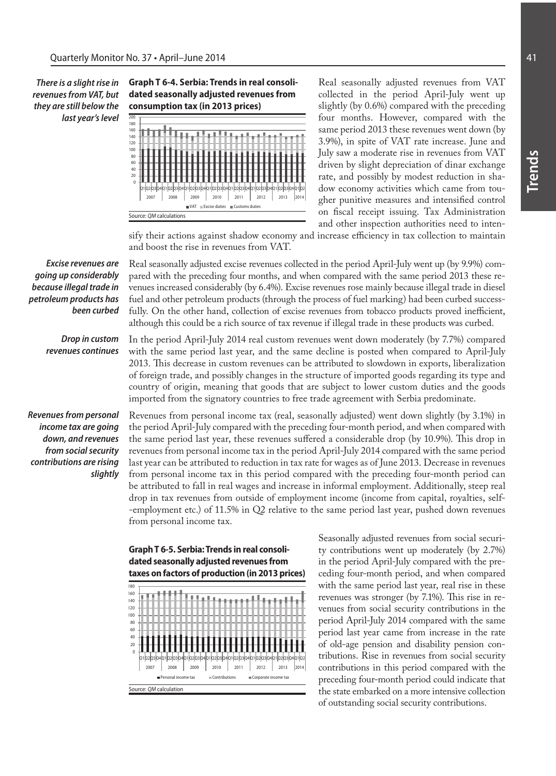*There is a slight rise in revenues from VAT, but they are still below the last year's level*





Real seasonally adjusted revenues from VAT collected in the period April-July went up slightly (by 0.6%) compared with the preceding four months. However, compared with the same period 2013 these revenues went down (by 3.9%), in spite of VAT rate increase. June and July saw a moderate rise in revenues from VAT driven by slight depreciation of dinar exchange rate, and possibly by modest reduction in shadow economy activities which came from tougher punitive measures and intensified control on fiscal receipt issuing. Tax Administration and other inspection authorities need to inten-

sify their actions against shadow economy and increase efficiency in tax collection to maintain and boost the rise in revenues from VAT.

*Excise revenues are going up considerably because illegal trade in petroleum products has been curbed* Real seasonally adjusted excise revenues collected in the period April-July went up (by 9.9%) compared with the preceding four months, and when compared with the same period 2013 these revenues increased considerably (by 6.4%). Excise revenues rose mainly because illegal trade in diesel fuel and other petroleum products (through the process of fuel marking) had been curbed successfully. On the other hand, collection of excise revenues from tobacco products proved inefficient, although this could be a rich source of tax revenue if illegal trade in these products was curbed.

*Drop in custom revenues continues* In the period April-July 2014 real custom revenues went down moderately (by 7.7%) compared with the same period last year, and the same decline is posted when compared to April-July 2013. This decrease in custom revenues can be attributed to slowdown in exports, liberalization of foreign trade, and possibly changes in the structure of imported goods regarding its type and country of origin, meaning that goods that are subject to lower custom duties and the goods imported from the signatory countries to free trade agreement with Serbia predominate.

*Revenues from personal income tax are going down, and revenues from social security contributions are rising slightly*

Revenues from personal income tax (real, seasonally adjusted) went down slightly (by 3.1%) in the period April-July compared with the preceding four-month period, and when compared with the same period last year, these revenues suffered a considerable drop (by 10.9%). This drop in revenues from personal income tax in the period April-July 2014 compared with the same period last year can be attributed to reduction in tax rate for wages as of June 2013. Decrease in revenues from personal income tax in this period compared with the preceding four-month period can be attributed to fall in real wages and increase in informal employment. Additionally, steep real drop in tax revenues from outside of employment income (income from capital, royalties, self- -employment etc.) of 11.5% in Q2 relative to the same period last year, pushed down revenues from personal income tax.



Seasonally adjusted revenues from social security contributions went up moderately (by 2.7%) in the period April-July compared with the preceding four-month period, and when compared with the same period last year, real rise in these revenues was stronger (by 7.1%). This rise in revenues from social security contributions in the period April-July 2014 compared with the same period last year came from increase in the rate of old-age pension and disability pension contributions. Rise in revenues from social security contributions in this period compared with the preceding four-month period could indicate that the state embarked on a more intensive collection of outstanding social security contributions.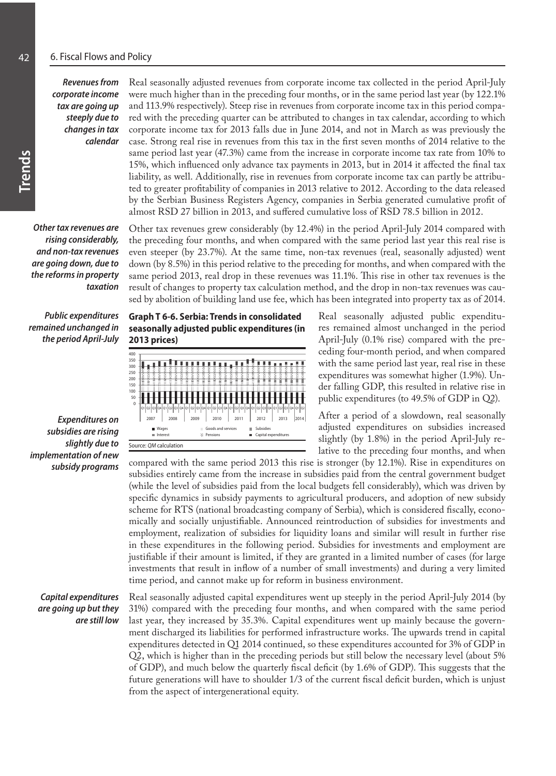*Revenues from corporate income tax are going up steeply due to changes in tax calendar*

*Other tax revenues are rising considerably, and non-tax revenues are going down, due to the reforms in property taxation*

*Public expenditures remained unchanged in the period April-July*

*Expenditures on subsidies are rising slightly due to implementation of new subsidy programs*

*Capital expenditures are going up but they are still low*

Real seasonally adjusted revenues from corporate income tax collected in the period April-July were much higher than in the preceding four months, or in the same period last year (by 122.1% and 113.9% respectively). Steep rise in revenues from corporate income tax in this period compared with the preceding quarter can be attributed to changes in tax calendar, according to which corporate income tax for 2013 falls due in June 2014, and not in March as was previously the case. Strong real rise in revenues from this tax in the first seven months of 2014 relative to the same period last year (47.3%) came from the increase in corporate income tax rate from 10% to 15%, which influenced only advance tax payments in 2013, but in 2014 it affected the final tax liability, as well. Additionally, rise in revenues from corporate income tax can partly be attributed to greater profitability of companies in 2013 relative to 2012. According to the data released by the Serbian Business Registers Agency, companies in Serbia generated cumulative profit of almost RSD 27 billion in 2013, and suffered cumulative loss of RSD 78.5 billion in 2012.

Other tax revenues grew considerably (by 12.4%) in the period April-July 2014 compared with the preceding four months, and when compared with the same period last year this real rise is even steeper (by 23.7%). At the same time, non-tax revenues (real, seasonally adjusted) went down (by 8.5%) in this period relative to the preceding for months, and when compared with the same period 2013, real drop in these revenues was 11.1%. This rise in other tax revenues is the result of changes to property tax calculation method, and the drop in non-tax revenues was caused by abolition of building land use fee, which has been integrated into property tax as of 2014.

**Graph T 6-6. Serbia: Trends in consolidated seasonally adjusted public expenditures (in 2013 prices)**



Real seasonally adjusted public expenditures remained almost unchanged in the period April-July (0.1% rise) compared with the preceding four-month period, and when compared with the same period last year, real rise in these expenditures was somewhat higher (1.9%). Under falling GDP, this resulted in relative rise in public expenditures (to 49.5% of GDP in Q2).

After a period of a slowdown, real seasonally adjusted expenditures on subsidies increased slightly (by 1.8%) in the period April-July relative to the preceding four months, and when

compared with the same period 2013 this rise is stronger (by 12.1%). Rise in expenditures on subsidies entirely came from the increase in subsidies paid from the central government budget (while the level of subsidies paid from the local budgets fell considerably), which was driven by specific dynamics in subsidy payments to agricultural producers, and adoption of new subsidy scheme for RTS (national broadcasting company of Serbia), which is considered fiscally, economically and socially unjustifiable. Announced reintroduction of subsidies for investments and employment, realization of subsidies for liquidity loans and similar will result in further rise in these expenditures in the following period. Subsidies for investments and employment are justifiable if their amount is limited, if they are granted in a limited number of cases (for large investments that result in inflow of a number of small investments) and during a very limited time period, and cannot make up for reform in business environment.

Real seasonally adjusted capital expenditures went up steeply in the period April-July 2014 (by 31%) compared with the preceding four months, and when compared with the same period last year, they increased by 35.3%. Capital expenditures went up mainly because the government discharged its liabilities for performed infrastructure works. The upwards trend in capital expenditures detected in Q1 2014 continued, so these expenditures accounted for 3% of GDP in Q2, which is higher than in the preceding periods but still below the necessary level (about 5% of GDP), and much below the quarterly fiscal deficit (by 1.6% of GDP). This suggests that the future generations will have to shoulder 1/3 of the current fiscal deficit burden, which is unjust from the aspect of intergenerational equity.

**Trends**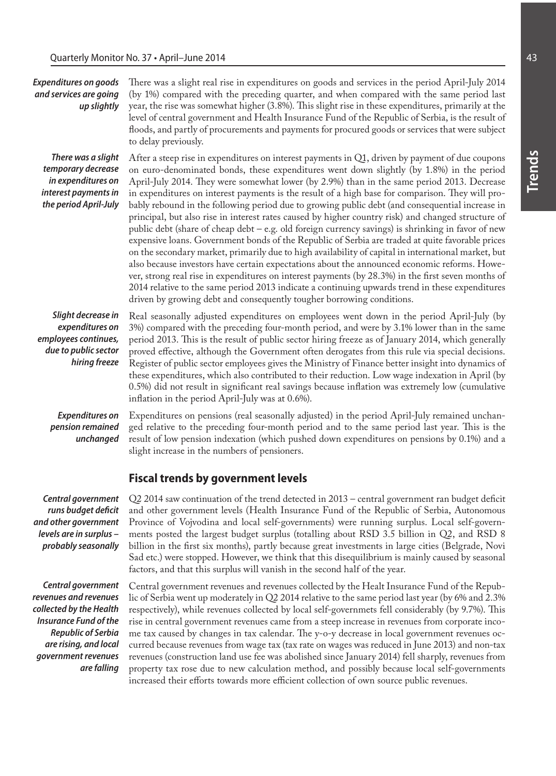| <b>Expenditures on goods</b><br>and services are going<br>up slightly                                           | There was a slight real rise in expenditures on goods and services in the period April-July 2014<br>(by 1%) compared with the preceding quarter, and when compared with the same period last<br>year, the rise was somewhat higher (3.8%). This slight rise in these expenditures, primarily at the<br>level of central government and Health Insurance Fund of the Republic of Serbia, is the result of<br>floods, and partly of procurements and payments for procured goods or services that were subject<br>to delay previously.                                                                                                                                                                                                                                                                                                                                                                                                                                                                                                                                                                                                                                                                                                                                                                      |
|-----------------------------------------------------------------------------------------------------------------|-----------------------------------------------------------------------------------------------------------------------------------------------------------------------------------------------------------------------------------------------------------------------------------------------------------------------------------------------------------------------------------------------------------------------------------------------------------------------------------------------------------------------------------------------------------------------------------------------------------------------------------------------------------------------------------------------------------------------------------------------------------------------------------------------------------------------------------------------------------------------------------------------------------------------------------------------------------------------------------------------------------------------------------------------------------------------------------------------------------------------------------------------------------------------------------------------------------------------------------------------------------------------------------------------------------|
| There was a slight<br>temporary decrease<br>in expenditures on<br>interest payments in<br>the period April-July | After a steep rise in expenditures on interest payments in Q1, driven by payment of due coupons<br>on euro-denominated bonds, these expenditures went down slightly (by 1.8%) in the period<br>April-July 2014. They were somewhat lower (by 2.9%) than in the same period 2013. Decrease<br>in expenditures on interest payments is the result of a high base for comparison. They will pro-<br>bably rebound in the following period due to growing public debt (and consequential increase in<br>principal, but also rise in interest rates caused by higher country risk) and changed structure of<br>public debt (share of cheap debt - e.g. old foreign currency savings) is shrinking in favor of new<br>expensive loans. Government bonds of the Republic of Serbia are traded at quite favorable prices<br>on the secondary market, primarily due to high availability of capital in international market, but<br>also because investors have certain expectations about the announced economic reforms. Howe-<br>ver, strong real rise in expenditures on interest payments (by 28.3%) in the first seven months of<br>2014 relative to the same period 2013 indicate a continuing upwards trend in these expenditures<br>driven by growing debt and consequently tougher borrowing conditions. |
| Slight decrease in<br>expenditures on<br>employees continues,<br>due to public sector<br>hiring freeze          | Real seasonally adjusted expenditures on employees went down in the period April-July (by<br>3%) compared with the preceding four-month period, and were by 3.1% lower than in the same<br>period 2013. This is the result of public sector hiring freeze as of January 2014, which generally<br>proved effective, although the Government often derogates from this rule via special decisions.<br>Register of public sector employees gives the Ministry of Finance better insight into dynamics of<br>these expenditures, which also contributed to their reduction. Low wage indexation in April (by<br>0.5%) did not result in significant real savings because inflation was extremely low (cumulative<br>inflation in the period April-July was at 0.6%).                                                                                                                                                                                                                                                                                                                                                                                                                                                                                                                                          |
| <b>Expenditures on</b><br>pension remained<br>unchanged                                                         | Expenditures on pensions (real seasonally adjusted) in the period April-July remained unchan-<br>ged relative to the preceding four-month period and to the same period last year. This is the<br>result of low pension indexation (which pushed down expenditures on pensions by 0.1%) and a<br>slight increase in the numbers of pensioners.                                                                                                                                                                                                                                                                                                                                                                                                                                                                                                                                                                                                                                                                                                                                                                                                                                                                                                                                                            |
|                                                                                                                 | <b>Fiscal trends by government levels</b>                                                                                                                                                                                                                                                                                                                                                                                                                                                                                                                                                                                                                                                                                                                                                                                                                                                                                                                                                                                                                                                                                                                                                                                                                                                                 |
| Central government                                                                                              | Q2 2014 saw continuation of the trend detected in 2013 - central government ran budget deficit                                                                                                                                                                                                                                                                                                                                                                                                                                                                                                                                                                                                                                                                                                                                                                                                                                                                                                                                                                                                                                                                                                                                                                                                            |

*runs budget deficit and other government levels are in surplus – probably seasonally*

*Central government revenues and revenues collected by the Health Insurance Fund of the Republic of Serbia are rising, and local government revenues are falling*

Q2 2014 saw continuation of the trend detected in 2013 – central government ran budget deficit and other government levels (Health Insurance Fund of the Republic of Serbia, Autonomous Province of Vojvodina and local self-governments) were running surplus. Local self-governments posted the largest budget surplus (totalling about RSD 3.5 billion in Q2, and RSD 8 billion in the first six months), partly because great investments in large cities (Belgrade, Novi Sad etc.) were stopped. However, we think that this disequilibrium is mainly caused by seasonal factors, and that this surplus will vanish in the second half of the year.

Central government revenues and revenues collected by the Healt Insurance Fund of the Republic of Serbia went up moderately in Q2 2014 relative to the same period last year (by 6% and 2.3% respectively), while revenues collected by local self-governmets fell considerably (by 9.7%). This rise in central government revenues came from a steep increase in revenues from corporate income tax caused by changes in tax calendar. The y-o-y decrease in local government revenues occurred because revenues from wage tax (tax rate on wages was reduced in June 2013) and non-tax revenues (construction land use fee was abolished since January 2014) fell sharply, revenues from property tax rose due to new calculation method, and possibly because local self-governments increased their efforts towards more efficient collection of own source public revenues.

**Trends**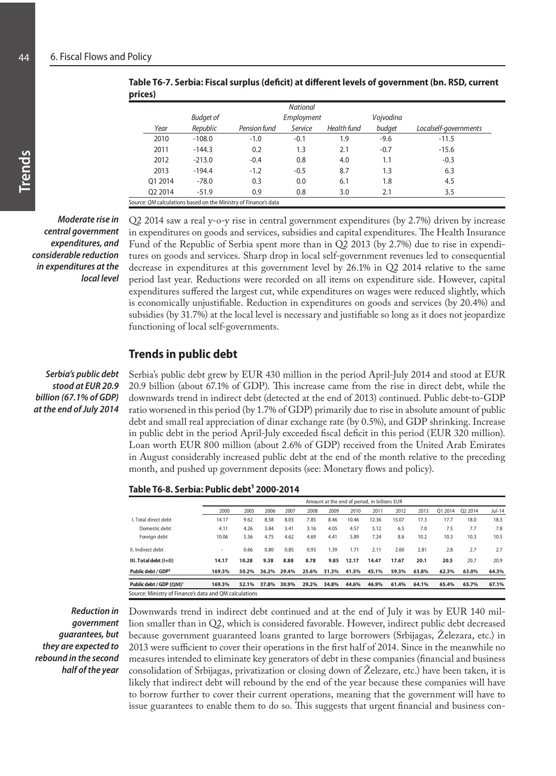| r - - - - - <i>1</i> |                  |                                                                 |                 |             |           |                       |  |
|----------------------|------------------|-----------------------------------------------------------------|-----------------|-------------|-----------|-----------------------|--|
|                      |                  |                                                                 | <b>National</b> |             |           |                       |  |
|                      | <b>Budget of</b> |                                                                 | Employment      |             | Vojvodina |                       |  |
| Year                 | Republic         | Pension fund                                                    | Service         | Health fund | budget    | Localself-governments |  |
| 2010                 | $-108.0$         | $-1.0$                                                          | $-0.1$          | 1.9         | $-9.6$    | $-11.5$               |  |
| 2011                 | $-144.3$         | 0.2                                                             | 1.3             | 2.1         | $-0.7$    | $-15.6$               |  |
| 2012                 | $-213.0$         | $-0.4$                                                          | 0.8             | 4.0         | 1.1       | $-0.3$                |  |
| 2013                 | $-194.4$         | $-1.2$                                                          | $-0.5$          | 8.7         | 1.3       | 6.3                   |  |
| 01 2014              | $-78.0$          | 0.3                                                             | 0.0             | 6.1         | 1.8       | 4.5                   |  |
| 02 2014              | $-51.9$          | 0.9                                                             | 0.8             | 3.0         | 2.1       | 3.5                   |  |
|                      |                  | Source: QM calculations based on the Ministry of Finance's data |                 |             |           |                       |  |

**Table T6-7. Serbia: Fiscal surplus (deficit) at different levels of government (bn. RSD, current prices)**

*Moderate rise in central government expenditures, and considerable reduction in expenditures at the local level* 

Q2 2014 saw a real y-o-y rise in central government expenditures (by 2.7%) driven by increase in expenditures on goods and services, subsidies and capital expenditures. The Health Insurance Fund of the Republic of Serbia spent more than in Q2 2013 (by 2.7%) due to rise in expenditures on goods and services. Sharp drop in local self-government revenues led to consequential decrease in expenditures at this government level by 26.1% in Q2 2014 relative to the same period last year. Reductions were recorded on all items on expenditure side. However, capital expenditures suffered the largest cut, while expenditures on wages were reduced slightly, which is economically unjustifiable. Reduction in expenditures on goods and services (by 20.4%) and subsidies (by 31.7%) at the local level is necessary and justifiable so long as it does not jeopardize functioning of local self-governments.

# **Trends in public debt**

*Serbia's public debt stood at EUR 20.9 billion (67.1% of GDP) at the end of July 2014*

Serbia's public debt grew by EUR 430 million in the period April-July 2014 and stood at EUR 20.9 billion (about 67.1% of GDP). This increase came from the rise in direct debt, while the downwards trend in indirect debt (detected at the end of 2013) continued. Public debt-to-GDP ratio worsened in this period (by 1.7% of GDP) primarily due to rise in absolute amount of public debt and small real appreciation of dinar exchange rate (by 0.5%), and GDP shrinking. Increase in public debt in the period April-July exceeded fiscal deficit in this period (EUR 320 million). Loan worth EUR 800 million (about 2.6% of GDP) received from the United Arab Emirates in August considerably increased public debt at the end of the month relative to the preceding month, and pushed up government deposits (see: Monetary flows and policy).

Table T6-8. Serbia: Public debt<sup>1</sup> 2000-2014

|                                                        | Amount at the end of period, in billions EUR |       |       |       |       |       |       |       |       |       |         |         |        |
|--------------------------------------------------------|----------------------------------------------|-------|-------|-------|-------|-------|-------|-------|-------|-------|---------|---------|--------|
|                                                        | 2000                                         | 2005  | 2006  | 2007  | 2008  | 2009  | 2010  | 2011  | 2012  | 2013  | 01 2014 | 02 2014 | Jul-14 |
| I. Total direct debt                                   | 14.17                                        | 9.62  | 8.58  | 8.03  | 7.85  | 8.46  | 10.46 | 12.36 | 15.07 | 17.3  | 17.7    | 18.0    | 18.3   |
| Domestic debt                                          | 4.11                                         | 4.26  | 3.84  | 3.41  | 3.16  | 4.05  | 4.57  | 5.12  | 6.5   | 7.0   | 7.5     | 7.7     | 7.8    |
| Foreian debt                                           | 10.06                                        | 5.36  | 4.75  | 4.62  | 4.69  | 4.41  | 5.89  | 7.24  | 8.6   | 10.2  | 10.3    | 10.3    | 10.5   |
| II. Indirect debt                                      | ٠                                            | 0.66  | 0.80  | 0.85  | 0.93  | 1.39  | 1.71  | 2.11  | 2.60  | 2.81  | 2.8     | 2.7     | 2.7    |
| III. Total debt (I+II)                                 | 14.17                                        | 10.28 | 9.38  | 8.88  | 8.78  | 9.85  | 12.17 | 14.47 | 17.67 | 20.1  | 20.5    | 20.7    | 20.9   |
| Public debt / GDP <sup>2</sup>                         | 169.3%                                       | 50.2% | 36.2% | 29.4% | 25.6% | 31.3% | 41.5% | 45.1% | 59.3% | 63.8% | 62.3%   | 63.0%   | 64.3%  |
| Public debt / GDP (QM) <sup>3</sup>                    | 169.3%                                       | 52.1% | 37.8% | 30.9% | 29.2% | 34.8% | 44.6% | 46.9% | 61.4% | 64.1% | 65.4%   | 65.7%   | 67.1%  |
| Source: Ministry of Finance's data and QM calculations |                                              |       |       |       |       |       |       |       |       |       |         |         |        |

*Reduction in government guarantees, but they are expected to rebound in the second half of the year* Downwards trend in indirect debt continued and at the end of July it was by EUR 140 million smaller than in Q2, which is considered favorable. However, indirect public debt decreased because government guaranteed loans granted to large borrowers (Srbijagas, Železara, etc.) in 2013 were sufficient to cover their operations in the first half of 2014. Since in the meanwhile no measures intended to eliminate key generators of debt in these companies (financial and business consolidation of Srbijagas, privatization or closing down of Železare, etc.) have been taken, it is likely that indirect debt will rebound by the end of the year because these companies will have to borrow further to cover their current operations, meaning that the government will have to issue guarantees to enable them to do so. This suggests that urgent financial and business con-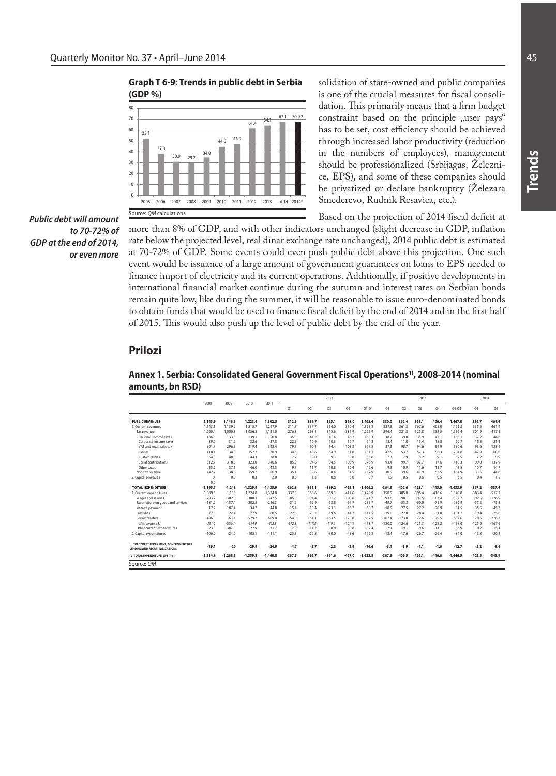#### **Graph T 6-9: Trends in public debt in Serbia (GDP %)**



solidation of state-owned and public companies is one of the crucial measures for fiscal consolidation. This primarily means that a firm budget constraint based on the principle "user pays" has to be set, cost efficiency should be achieved through increased labor productivity (reduction in the numbers of employees), management should be professionalized (Srbijagas, Železnice, EPS), and some of these companies should be privatized or declare bankruptcy (Železara Smederevo, Rudnik Resavica, etc.).

Based on the projection of 2014 fiscal deficit at

*Public debt will amount to 70-72% of GDP at the end of 2014, or even more*

more than 8% of GDP, and with other indicators unchanged (slight decrease in GDP, inflation rate below the projected level, real dinar exchange rate unchanged), 2014 public debt is estimated at 70-72% of GDP. Some events could even push public debt above this projection. One such event would be issuance of a large amount of government guarantees on loans to EPS needed to finance import of electricity and its current operations. Additionally, if positive developments in international financial market continue during the autumn and interest rates on Serbian bonds remain quite low, like during the summer, it will be reasonable to issue euro-denominated bonds to obtain funds that would be used to finance fiscal deficit by the end of 2014 and in the first half of 2015. This would also push up the level of public debt by the end of the year.

# **Prilozi**

#### **Annex 1. Serbia: Consolidated General Government Fiscal Operations1), 2008-2014 (nominal amounts, bn RSD)**

|                                                                                  | 2008       | 2009       | 2010       | 2011       |          |          | 2012           |          |            |          |          | 2013           |          |            | 2014     |          |
|----------------------------------------------------------------------------------|------------|------------|------------|------------|----------|----------|----------------|----------|------------|----------|----------|----------------|----------|------------|----------|----------|
|                                                                                  |            |            |            |            | 01       | 02       | O <sub>3</sub> | 04       | $O1 - O4$  | 01       | 02       | O <sub>3</sub> | 04       | $O1 - O4$  | O1       | 02       |
| <b>I PUBLIC REVENUES</b>                                                         | 1.145.9    | 1.146.5    | 1.223.4    | 1.302.5    | 312.6    | 339.7    | 355.1          | 398.0    | 1,405.4    | 330.0    | 362.4    | 369.1          | 406.4    | 1.467.8    | 336.7    | 464.4    |
| 1. Current revenues                                                              | 1.143.1    | 1.139.2    | 1.215.7    | 1.297.9    | 311.7    | 337.7    | 354.0          | 390.4    | 1.393.8    | 327.3    | 361.3    | 367.6          | 405.0    | 1,461.3    | 335.5    | 461.9    |
| Tax revenue                                                                      | 1.000.4    | 1.000.3    | 1.056.5    | 1.131.0    | 276.3    | 298.1    | 315.6          | 335.9    | 1.225.9    | 296.4    | 321.8    | 325.8          | 352.5    | 1.296.4    | 301.9    | 417.1    |
| Personal income taxes                                                            | 136.5      | 133.5      | 139.1      | 150.8      | 35.8     | 41.2     | 41.4           | 46.7     | 165.3      | 38.2     | 39.8     | 35.9           | 42.1     | 156.1      | 32.2     | 44.6     |
| Corporate income taxes                                                           | 39.0       | 31.2       | 32.6       | 37.8       | 22.9     | 10.9     | 10.3           | 10.7     | 54.8       | 18.4     | 11.0     | 15.4           | 15.8     | 60.7       | 15.5     | 21.1     |
| VAT and retail sales tax                                                         | 301.7      | 296.9      | 319.4      | 342.4      | 79.7     | 90.1     | 94.4           | 103.3    | 367.5      | 87.3     | 98.7     | 94.6           | 99.9     | 380.6      | 93.6     | 128.9    |
| <b>Excises</b>                                                                   | 110.1      | 134.8      | 152.2      | 170.9      | 34.6     | 40.6     | 54.9           | 51.0     | 181.1      | 42.5     | 53.7     | 52.3           | 56.3     | 204.8      | 42.9     | 60.0     |
| Custom duties                                                                    | 64.8       | 48.0       | 44.3       | 38.8       | 7.7      | 9.0      | 93             | 9.8      | 35.8       | 7.3      | 7.9      | 8.2            | 9.1      | 32.5       | 7.2      | 9.9      |
| Social contributions                                                             | 312.7      | 318.8      | 323.0      | 346.6      | 85.9     | 94.6     | 94.5           | 103.9    | 378.9      | 93.4     | 99.7     | 107.7          | 117.6    | 418.3      | 99.8     | 137.9    |
| Other taxes                                                                      | 35.6       | 37.1       | 46.0       | 43.5       | 9.7      | 11.7     | 10.8           | 10.4     | 42.6       | 9.3      | 10.9     | 11.6           | 11.7     | 43.5       | 10.7     | 14.7     |
| Non-tax revenue                                                                  | 142.7      | 138.8      | 159.2      | 166.9      | 35.4     | 39.6     | 38.4           | 54.5     | 167.9      | 30.9     | 39.6     | 41.9           | 52.5     | 164.9      | 33.6     | 44.8     |
| 2. Capital revenues                                                              | 1.4        | 0.9        | 0.3        | 2.0        | 0.6      | 1.3      | 0.8            | 6.0      | 8.7        | 1.9      | 0.5      | 0.6            | 0.5      | 3.5        | 0.4      | 1.5      |
|                                                                                  | 0.0        |            |            |            |          |          |                |          |            |          |          |                |          |            |          |          |
| <b>II TOTAL EXPENDITURE</b>                                                      | $-1.195.7$ | $-1.248$   | $-1.329.9$ | $-1.435.9$ | $-362.8$ | $-391.1$ | $-389.2$       | $-463.1$ | $-1.606.2$ | $-364.3$ | $-402.6$ | $-422.1$       | $-445.0$ | $-1.633.9$ | $-397.2$ | $-537.4$ |
| 1. Current expenditures                                                          | $-1.089.6$ | $-1.155$   | $-1.224.8$ | $-1.324.8$ | $-337.5$ | $-368.6$ | $-359.3$       | $-414.6$ | $-1.479.9$ | $-350.9$ | $-385.0$ | $-395.4$       | $-418.6$ | $-1.549.8$ | $-383.4$ | $-517.2$ |
| Wages and salaries                                                               | $-293.2$   | $-302.0$   | $-308.1$   | $-342.5$   | $-85.5$  | $-94.4$  | $-91.2$        | $-103.6$ | $-374.7$   | $-93.8$  | $-98.1$  | $-97.5$        | $-103.4$ | $-392.7$   | $-92.5$  | $-126.9$ |
| Expenditure on goods and services                                                | $-181.2$   | $-187.4$   | $-202.5$   | $-216.3$   | $-51.2$  | $-62.9$  | $-53.8$        | $-67.7$  | $-235.7$   | $-49.7$  | $-55.3$  | $-60.0$        | $-71.9$  | $-236.9$   | $-55.2$  | $-75.2$  |
| Interest payment                                                                 | $-17.2$    | $-187.4$   | $-34.2$    | $-44.8$    | $-15.4$  | $-13.4$  | $-23.3$        | $-16.2$  | $-68.2$    | $-18.9$  | $-27.5$  | $-27.2$        | $-20.9$  | $-94.5$    | $-35.5$  | $-45.7$  |
| Subsidies                                                                        | $-77.8$    | $-22.4$    | $-77.9$    | $-80.5$    | $-22.6$  | $-25.2$  | $-19.6$        | $-44.2$  | $-111.5$   | $-19.0$  | $-22.0$  | $-28.4$        | $-31.8$  | $-101.2$   | $-19.4$  | $-25.6$  |
| Social transfers                                                                 | $-496.8$   | $-63.1$    | $-579.2$   | $-609.0$   | $-154.9$ | $-161.1$ | $-163.5$       | $-173.0$ | $-652.5$   | $-162.4$ | $-173.0$ | $-172.6$       | $-179.5$ | $-687.6$   | $-170.6$ | $-228.7$ |
| o/w: pensions5)                                                                  | $-331.0$   | $-556.4$   | $-394.0$   | $-422.8$   | $-112.5$ | $-117.8$ | $-119.2$       | $-124.1$ | $-473.7$   | $-120.0$ | $-124.6$ | $-125.3$       | $-128.2$ | $-498.0$   | $-125.0$ | $-167.6$ |
| Other current expenditures                                                       | $-23.5$    | $-387.3$   | $-22.9$    | $-31.7$    | $-7.9$   | $-11.7$  | $-8.0$         | $-9.8$   | $-37.4$    | $-7.1$   | $-9.1$   | $-9.6$         | $-11.1$  | $-36.9$    | $-10.2$  | $-15.1$  |
| 2. Capital expenditures                                                          | $-106.0$   | $-24.0$    | $-105.1$   | $-111.1$   | $-25.3$  | $-22.5$  | $-30.0$        | $-48.6$  | $-126.3$   | $-13.4$  | $-17.6$  | $-26.7$        | $-26.4$  | $-84.0$    | $-13.8$  | $-20.2$  |
| III "OLD" DEBT REPAYMENT, GOVERNMENT NET<br><b>LENDING AND RECAPITALIZATIONS</b> | $-19.1$    | $-20$      | $-29.9$    | $-24.9$    | $-4.7$   | $-5.7$   | $-2.3$         | $-3.9$   | $-16.6$    | $-3.1$   | $-3.9$   | $-4.1$         | $-1.6$   | $-12.7$    | $-5.2$   | $-8.4$   |
| IV TOTAL EXPENDITURE, GFS (II+III)                                               | $-1.214.8$ | $-1.268.3$ | $-1.359.8$ | $-1.460.8$ | $-367.5$ | $-396.7$ | $-391.6$       | $-467.0$ | $-1.622.8$ | $-367.3$ | $-406.5$ | $-426.1$       | $-446.6$ | $-1.646.5$ | $-402.5$ | $-545.9$ |
| Source: OM                                                                       |            |            |            |            |          |          |                |          |            |          |          |                |          |            |          |          |